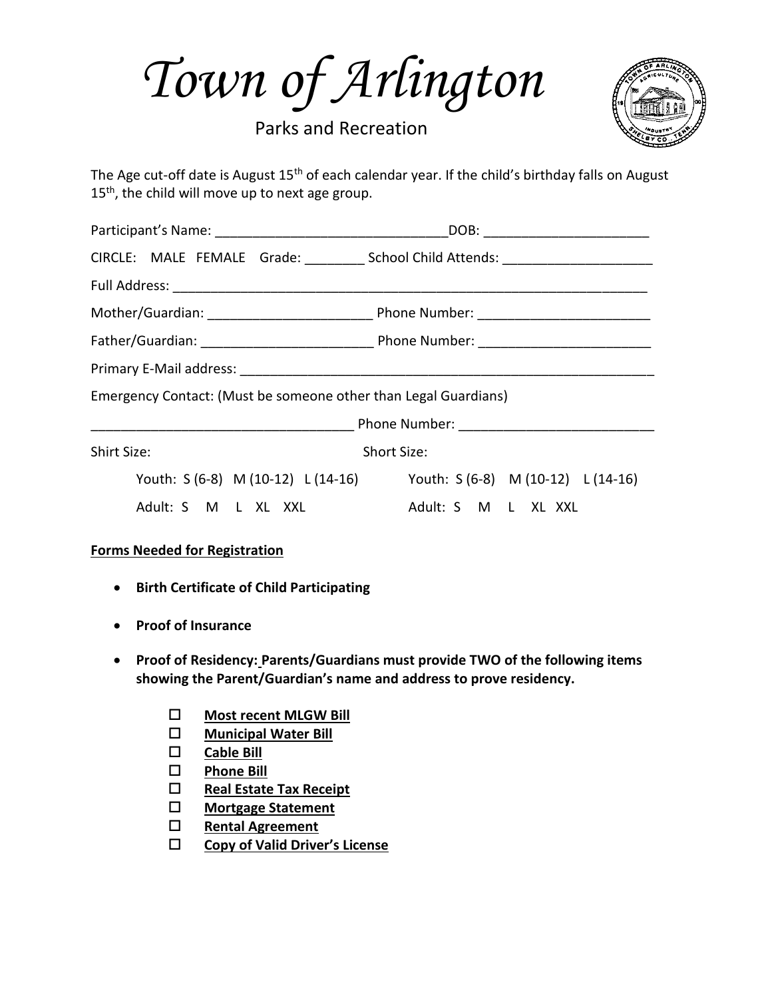*Town of Arlington*

Parks and Recreation



The Age cut-off date is August 15<sup>th</sup> of each calendar year. If the child's birthday falls on August 15<sup>th</sup>, the child will move up to next age group.

|                                                                       | CIRCLE: MALE FEMALE Grade: __________ School Child Attends: ____________________ |  |  |  |  |
|-----------------------------------------------------------------------|----------------------------------------------------------------------------------|--|--|--|--|
|                                                                       |                                                                                  |  |  |  |  |
|                                                                       |                                                                                  |  |  |  |  |
|                                                                       |                                                                                  |  |  |  |  |
|                                                                       |                                                                                  |  |  |  |  |
| Emergency Contact: (Must be someone other than Legal Guardians)       |                                                                                  |  |  |  |  |
|                                                                       |                                                                                  |  |  |  |  |
| Shirt Size:<br>Short Size:                                            |                                                                                  |  |  |  |  |
| Youth: S (6-8) M (10-12) L (14-16) Youth: S (6-8) M (10-12) L (14-16) |                                                                                  |  |  |  |  |
| Adult: S M L XL XXL                                                   | Adult: S M L XL XXL                                                              |  |  |  |  |

## **Forms Needed for Registration**

- **Birth Certificate of Child Participating**
- **Proof of Insurance**
- **Proof of Residency: Parents/Guardians must provide TWO of the following items showing the Parent/Guardian's name and address to prove residency.** 
	- **Most recent MLGW Bill**
	- **Municipal Water Bill**
	- **Cable Bill**
	- **Phone Bill**
	- **Real Estate Tax Receipt**
	- **Mortgage Statement**
	- **Rental Agreement**
	- **Copy of Valid Driver's License**